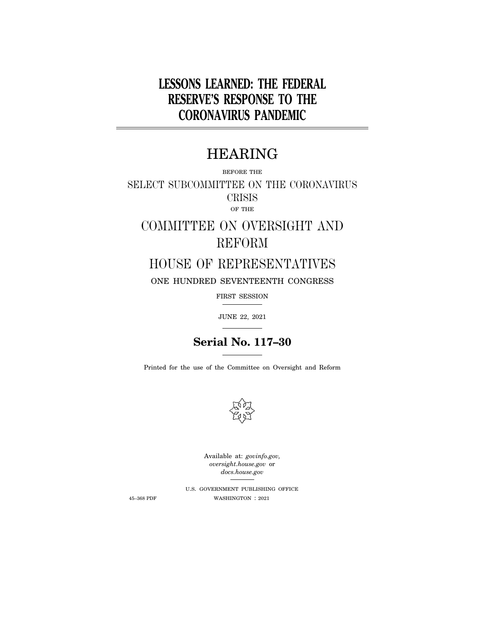# **LESSONS LEARNED: THE FEDERAL RESERVE'S RESPONSE TO THE CORONAVIRUS PANDEMIC**

# HEARING

BEFORE THE

SELECT SUBCOMMITTEE ON THE CORONAVIRUS CRISIS OF THE

# COMMITTEE ON OVERSIGHT AND REFORM

# HOUSE OF REPRESENTATIVES

ONE HUNDRED SEVENTEENTH CONGRESS

FIRST SESSION

JUNE 22, 2021

# **Serial No. 117–30**

Printed for the use of the Committee on Oversight and Reform



Available at: *govinfo.gov, oversight.house.gov* or *docs.house.gov* 

U.S. GOVERNMENT PUBLISHING OFFICE 45–368 PDF WASHINGTON : 2021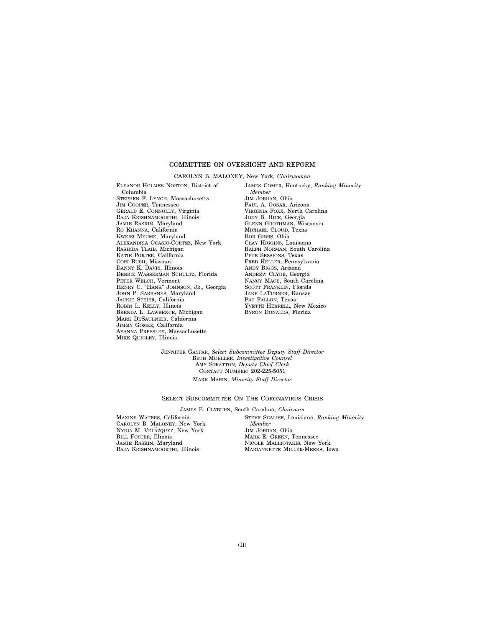### COMMITTEE ON OVERSIGHT AND REFORM

#### CAROLYN B. MALONEY, New York, *Chairwoman*

ELEANOR HOLMES NORTON, District of Columbia STEPHEN F. LYNCH, Massachusetts JIM COOPER, Tennessee GERALD E. CONNOLLY, Virginia RAJA KRISHNAMOORTHI, Illinois JAMIE RASKIN, Maryland RO KHANNA, California KWEISI MFUME, Maryland ALEXANDRIA OCASIO-CORTEZ, New York RASHIDA TLAIB, Michigan KATIE PORTER, California CORI BUSH, Missouri DANNY K. DAVIS, Illinois DEBBIE WASSERMAN SCHULTZ, Florida PETER WELCH, Vermont HENRY C. "HANK" JOHNSON, JR., Georgia JOHN P. SARBANES, Maryland JACKIE SPEIER, California ROBIN L. KELLY, Illinois BRENDA L. LAWRENCE, Michigan MARK DESAULNIER, California JIMMY GOMEZ, California AYANNA PRESSLEY, Massachusetts MIKE QUIGLEY, Illinois

JAMES COMER, Kentucky, *Ranking Minority Member*  JIM JORDAN, Ohio PAUL A. GOSAR, Arizona VIRGINIA FOXX, North Carolina JODY B. HICE, Georgia GLENN GROTHMAN, Wisconsin MICHAEL CLOUD, Texas BOB GIBBS, Ohio CLAY HIGGINS, Louisiana RALPH NORMAN, South Carolina PETE SESSIONS, Texas FRED KELLER, Pennsylvania ANDY BIGGS, Arizona ANDREW CLYDE, Georgia NANCY MACE, South Carolina SCOTT FRANKLIN, Florida JAKE LATURNER, Kansas PAT FALLON, Texas YVETTE HERRELL, New Mexico BYRON DONALDS, Florida

JENNIFER GASPAR, *Select Subcommittee Deputy Staff Director*  BETH MUELLER, *Investigative Counsel*  AMY STRATTON, *Deputy Chief Clerk*  CONTACT NUMBER: 202-225-5051 MARK MARIN, *Minority Staff Director* 

#### SELECT SUBCOMMITTEE ON THE CORONAVIRUS CRISIS

#### JAMES E. CLYBURN, South Carolina, *Chairman*

MAXINE WATERS, California CAROLYN B. MALONEY, New York NYDIA M. VELÁZQUEZ, New York BILL FOSTER, Illinois JAMIE RASKIN, Maryland RAJA KRISHNAMOORTHI, Illinois

STEVE SCALISE, Louisiana, *Ranking Minority Member*  JIM JORDAN, Ohio MARK E. GREEN, Tennessee NICOLE MALLIOTAKIS, New York MARIANNETTE MILLER-MEEKS, Iowa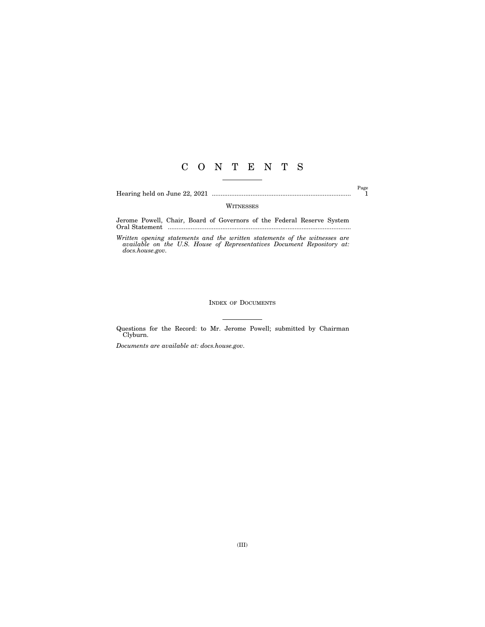## C O N T E N T S

Hearing held on June 22, 2021 ............................................................................... 1

Page

WITNESSES

Jerome Powell, Chair, Board of Governors of the Federal Reserve System Oral Statement ........................................................................................................

*Written opening statements and the written statements of the witnesses are available on the U.S. House of Representatives Document Repository at: docs.house.gov.* 

### INDEX OF DOCUMENTS

Questions for the Record: to Mr. Jerome Powell; submitted by Chairman Clyburn.

*Documents are available at: docs.house.gov.*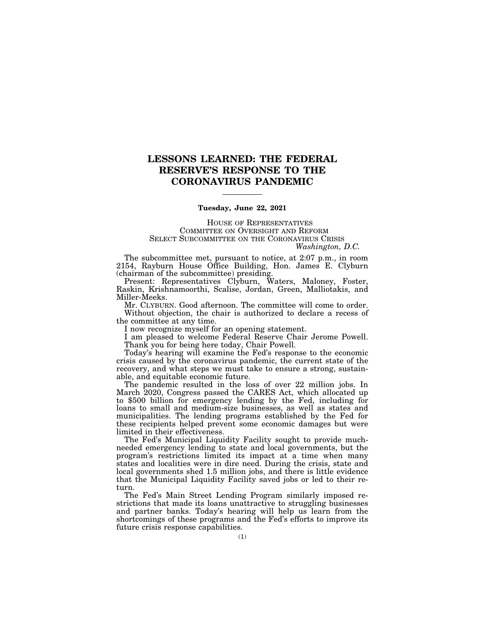### **LESSONS LEARNED: THE FEDERAL RESERVE'S RESPONSE TO THE CORONAVIRUS PANDEMIC**

### **Tuesday, June 22, 2021**

HOUSE OF REPRESENTATIVES COMMITTEE ON OVERSIGHT AND REFORM SELECT SUBCOMMITTEE ON THE CORONAVIRUS CRISIS *Washington, D.C.* 

The subcommittee met, pursuant to notice, at 2:07 p.m., in room 2154, Rayburn House Office Building, Hon. James E. Clyburn (chairman of the subcommittee) presiding.

Present: Representatives Clyburn, Waters, Maloney, Foster, Raskin, Krishnamoorthi, Scalise, Jordan, Green, Malliotakis, and Miller-Meeks.

Mr. CLYBURN. Good afternoon. The committee will come to order. Without objection, the chair is authorized to declare a recess of the committee at any time.

I now recognize myself for an opening statement.

I am pleased to welcome Federal Reserve Chair Jerome Powell. Thank you for being here today, Chair Powell.

Today's hearing will examine the Fed's response to the economic crisis caused by the coronavirus pandemic, the current state of the recovery, and what steps we must take to ensure a strong, sustainable, and equitable economic future.

The pandemic resulted in the loss of over 22 million jobs. In March 2020, Congress passed the CARES Act, which allocated up to \$500 billion for emergency lending by the Fed, including for loans to small and medium-size businesses, as well as states and municipalities. The lending programs established by the Fed for these recipients helped prevent some economic damages but were limited in their effectiveness.

The Fed's Municipal Liquidity Facility sought to provide muchneeded emergency lending to state and local governments, but the program's restrictions limited its impact at a time when many states and localities were in dire need. During the crisis, state and local governments shed 1.5 million jobs, and there is little evidence that the Municipal Liquidity Facility saved jobs or led to their return.

The Fed's Main Street Lending Program similarly imposed restrictions that made its loans unattractive to struggling businesses and partner banks. Today's hearing will help us learn from the shortcomings of these programs and the Fed's efforts to improve its future crisis response capabilities.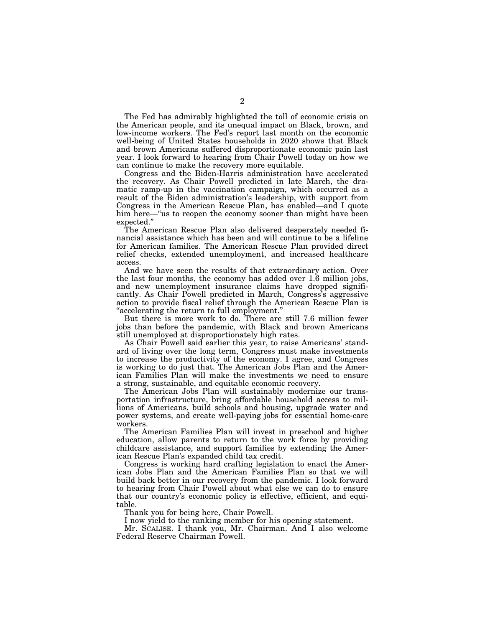The Fed has admirably highlighted the toll of economic crisis on the American people, and its unequal impact on Black, brown, and low-income workers. The Fed's report last month on the economic well-being of United States households in 2020 shows that Black and brown Americans suffered disproportionate economic pain last year. I look forward to hearing from Chair Powell today on how we can continue to make the recovery more equitable.

Congress and the Biden-Harris administration have accelerated the recovery. As Chair Powell predicted in late March, the dramatic ramp-up in the vaccination campaign, which occurred as a result of the Biden administration's leadership, with support from Congress in the American Rescue Plan, has enabled—and I quote him here—"us to reopen the economy sooner than might have been expected.''

The American Rescue Plan also delivered desperately needed financial assistance which has been and will continue to be a lifeline for American families. The American Rescue Plan provided direct relief checks, extended unemployment, and increased healthcare access.

And we have seen the results of that extraordinary action. Over the last four months, the economy has added over 1.6 million jobs, and new unemployment insurance claims have dropped significantly. As Chair Powell predicted in March, Congress's aggressive action to provide fiscal relief through the American Rescue Plan is ''accelerating the return to full employment.''

But there is more work to do. There are still 7.6 million fewer jobs than before the pandemic, with Black and brown Americans still unemployed at disproportionately high rates.

As Chair Powell said earlier this year, to raise Americans' standard of living over the long term, Congress must make investments to increase the productivity of the economy. I agree, and Congress is working to do just that. The American Jobs Plan and the American Families Plan will make the investments we need to ensure a strong, sustainable, and equitable economic recovery.

The American Jobs Plan will sustainably modernize our transportation infrastructure, bring affordable household access to millions of Americans, build schools and housing, upgrade water and power systems, and create well-paying jobs for essential home-care workers.

The American Families Plan will invest in preschool and higher education, allow parents to return to the work force by providing childcare assistance, and support families by extending the American Rescue Plan's expanded child tax credit.

Congress is working hard crafting legislation to enact the American Jobs Plan and the American Families Plan so that we will build back better in our recovery from the pandemic. I look forward to hearing from Chair Powell about what else we can do to ensure that our country's economic policy is effective, efficient, and equitable.

Thank you for being here, Chair Powell.

I now yield to the ranking member for his opening statement.

Mr. SCALISE. I thank you, Mr. Chairman. And I also welcome Federal Reserve Chairman Powell.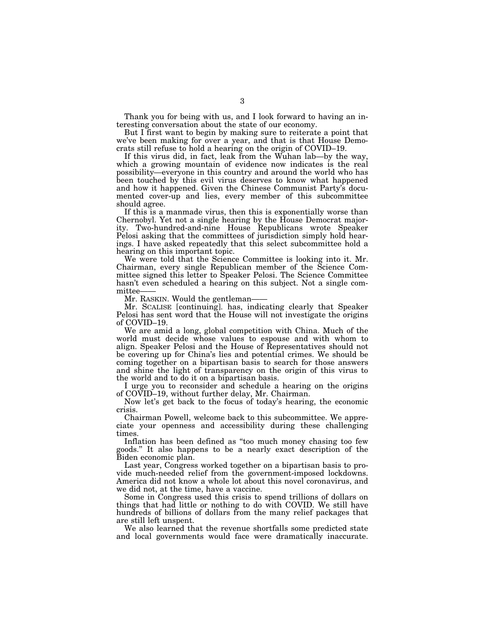Thank you for being with us, and I look forward to having an interesting conversation about the state of our economy.

But I first want to begin by making sure to reiterate a point that we've been making for over a year, and that is that House Democrats still refuse to hold a hearing on the origin of COVID–19.

If this virus did, in fact, leak from the Wuhan lab—by the way, which a growing mountain of evidence now indicates is the real possibility—everyone in this country and around the world who has been touched by this evil virus deserves to know what happened and how it happened. Given the Chinese Communist Party's documented cover-up and lies, every member of this subcommittee should agree.

If this is a manmade virus, then this is exponentially worse than Chernobyl. Yet not a single hearing by the House Democrat majority. Two-hundred-and-nine House Republicans wrote Speaker Pelosi asking that the committees of jurisdiction simply hold hearings. I have asked repeatedly that this select subcommittee hold a hearing on this important topic.

We were told that the Science Committee is looking into it. Mr. Chairman, every single Republican member of the Science Committee signed this letter to Speaker Pelosi. The Science Committee hasn't even scheduled a hearing on this subject. Not a single committee-

Mr. RASKIN. Would the gentleman-

Mr. SCALISE [continuing]. has, indicating clearly that Speaker Pelosi has sent word that the House will not investigate the origins of COVID–19.

We are amid a long, global competition with China. Much of the world must decide whose values to espouse and with whom to align. Speaker Pelosi and the House of Representatives should not be covering up for China's lies and potential crimes. We should be coming together on a bipartisan basis to search for those answers and shine the light of transparency on the origin of this virus to the world and to do it on a bipartisan basis.

I urge you to reconsider and schedule a hearing on the origins of COVID–19, without further delay, Mr. Chairman.

Now let's get back to the focus of today's hearing, the economic crisis.

Chairman Powell, welcome back to this subcommittee. We appreciate your openness and accessibility during these challenging times.

Inflation has been defined as ''too much money chasing too few goods.'' It also happens to be a nearly exact description of the Biden economic plan.

Last year, Congress worked together on a bipartisan basis to provide much-needed relief from the government-imposed lockdowns. America did not know a whole lot about this novel coronavirus, and we did not, at the time, have a vaccine.

Some in Congress used this crisis to spend trillions of dollars on things that had little or nothing to do with COVID. We still have hundreds of billions of dollars from the many relief packages that are still left unspent.

We also learned that the revenue shortfalls some predicted state and local governments would face were dramatically inaccurate.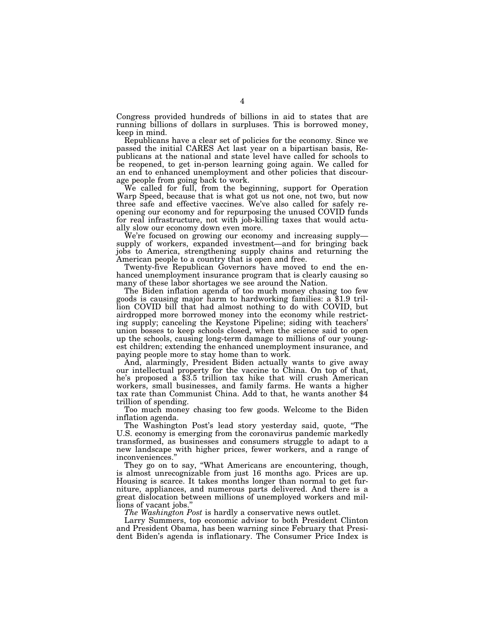Congress provided hundreds of billions in aid to states that are running billions of dollars in surpluses. This is borrowed money, keep in mind.

Republicans have a clear set of policies for the economy. Since we passed the initial CARES Act last year on a bipartisan basis, Republicans at the national and state level have called for schools to be reopened, to get in-person learning going again. We called for an end to enhanced unemployment and other policies that discourage people from going back to work.

We called for full, from the beginning, support for Operation Warp Speed, because that is what got us not one, not two, but now three safe and effective vaccines. We've also called for safely reopening our economy and for repurposing the unused COVID funds for real infrastructure, not with job-killing taxes that would actually slow our economy down even more.

We're focused on growing our economy and increasing supply supply of workers, expanded investment—and for bringing back jobs to America, strengthening supply chains and returning the American people to a country that is open and free.

Twenty-five Republican Governors have moved to end the enhanced unemployment insurance program that is clearly causing so

many of these labor shortages we see around the Nation.<br>The Biden inflation agenda of too much money chasing too few goods is causing major harm to hardworking families: a \$1.9 trillion COVID bill that had almost nothing to do with COVID, but airdropped more borrowed money into the economy while restricting supply; canceling the Keystone Pipeline; siding with teachers' union bosses to keep schools closed, when the science said to open up the schools, causing long-term damage to millions of our youngest children; extending the enhanced unemployment insurance, and paying people more to stay home than to work.

And, alarmingly, President Biden actually wants to give away our intellectual property for the vaccine to China. On top of that, he's proposed a \$3.5 trillion tax hike that will crush American workers, small businesses, and family farms. He wants a higher tax rate than Communist China. Add to that, he wants another \$4 trillion of spending.

Too much money chasing too few goods. Welcome to the Biden inflation agenda.

The Washington Post's lead story yesterday said, quote, ''The U.S. economy is emerging from the coronavirus pandemic markedly transformed, as businesses and consumers struggle to adapt to a new landscape with higher prices, fewer workers, and a range of inconveniences.''

They go on to say, ''What Americans are encountering, though, is almost unrecognizable from just 16 months ago. Prices are up. Housing is scarce. It takes months longer than normal to get furniture, appliances, and numerous parts delivered. And there is a great dislocation between millions of unemployed workers and millions of vacant jobs.''

*The Washington Post* is hardly a conservative news outlet.

Larry Summers, top economic advisor to both President Clinton and President Obama, has been warning since February that President Biden's agenda is inflationary. The Consumer Price Index is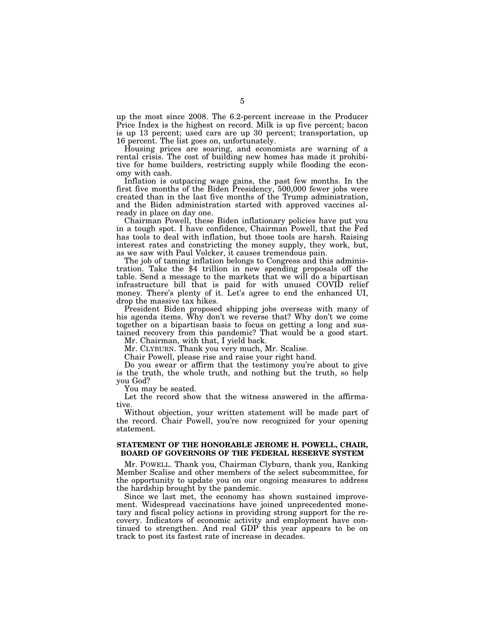up the most since 2008. The 6.2-percent increase in the Producer Price Index is the highest on record. Milk is up five percent; bacon is up 13 percent; used cars are up 30 percent; transportation, up 16 percent. The list goes on, unfortunately.

Housing prices are soaring, and economists are warning of a rental crisis. The cost of building new homes has made it prohibitive for home builders, restricting supply while flooding the economy with cash.

Inflation is outpacing wage gains, the past few months. In the first five months of the Biden Presidency, 500,000 fewer jobs were created than in the last five months of the Trump administration, and the Biden administration started with approved vaccines already in place on day one.

Chairman Powell, these Biden inflationary policies have put you in a tough spot. I have confidence, Chairman Powell, that the Fed has tools to deal with inflation, but those tools are harsh. Raising interest rates and constricting the money supply, they work, but, as we saw with Paul Volcker, it causes tremendous pain.

The job of taming inflation belongs to Congress and this administration. Take the \$4 trillion in new spending proposals off the table. Send a message to the markets that we will do a bipartisan infrastructure bill that is paid for with unused COVID relief money. There's plenty of it. Let's agree to end the enhanced UI, drop the massive tax hikes.

President Biden proposed shipping jobs overseas with many of his agenda items. Why don't we reverse that? Why don't we come together on a bipartisan basis to focus on getting a long and sustained recovery from this pandemic? That would be a good start.

Mr. Chairman, with that, I yield back.

Mr. CLYBURN. Thank you very much, Mr. Scalise.

Chair Powell, please rise and raise your right hand.

Do you swear or affirm that the testimony you're about to give is the truth, the whole truth, and nothing but the truth, so help you God?

You may be seated.

Let the record show that the witness answered in the affirmative.

Without objection, your written statement will be made part of the record. Chair Powell, you're now recognized for your opening statement.

### **STATEMENT OF THE HONORABLE JEROME H. POWELL, CHAIR, BOARD OF GOVERNORS OF THE FEDERAL RESERVE SYSTEM**

Mr. POWELL. Thank you, Chairman Clyburn, thank you, Ranking Member Scalise and other members of the select subcommittee, for the opportunity to update you on our ongoing measures to address the hardship brought by the pandemic.

Since we last met, the economy has shown sustained improvement. Widespread vaccinations have joined unprecedented monetary and fiscal policy actions in providing strong support for the recovery. Indicators of economic activity and employment have continued to strengthen. And real GDP this year appears to be on track to post its fastest rate of increase in decades.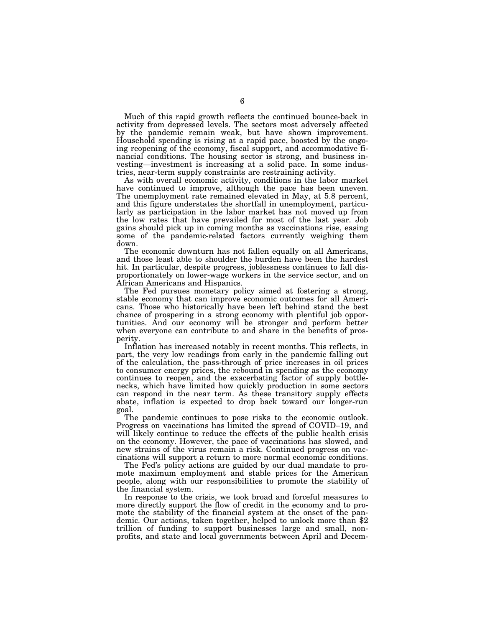Much of this rapid growth reflects the continued bounce-back in activity from depressed levels. The sectors most adversely affected by the pandemic remain weak, but have shown improvement. Household spending is rising at a rapid pace, boosted by the ongoing reopening of the economy, fiscal support, and accommodative financial conditions. The housing sector is strong, and business investing—investment is increasing at a solid pace. In some industries, near-term supply constraints are restraining activity.

As with overall economic activity, conditions in the labor market have continued to improve, although the pace has been uneven. The unemployment rate remained elevated in May, at 5.8 percent, and this figure understates the shortfall in unemployment, particularly as participation in the labor market has not moved up from the low rates that have prevailed for most of the last year. Job gains should pick up in coming months as vaccinations rise, easing some of the pandemic-related factors currently weighing them down.

The economic downturn has not fallen equally on all Americans, and those least able to shoulder the burden have been the hardest hit. In particular, despite progress, joblessness continues to fall disproportionately on lower-wage workers in the service sector, and on African Americans and Hispanics.

The Fed pursues monetary policy aimed at fostering a strong, stable economy that can improve economic outcomes for all Americans. Those who historically have been left behind stand the best chance of prospering in a strong economy with plentiful job opportunities. And our economy will be stronger and perform better when everyone can contribute to and share in the benefits of prosperity.

Inflation has increased notably in recent months. This reflects, in part, the very low readings from early in the pandemic falling out of the calculation, the pass-through of price increases in oil prices to consumer energy prices, the rebound in spending as the economy continues to reopen, and the exacerbating factor of supply bottlenecks, which have limited how quickly production in some sectors can respond in the near term. As these transitory supply effects abate, inflation is expected to drop back toward our longer-run goal.

The pandemic continues to pose risks to the economic outlook. Progress on vaccinations has limited the spread of COVID–19, and will likely continue to reduce the effects of the public health crisis on the economy. However, the pace of vaccinations has slowed, and new strains of the virus remain a risk. Continued progress on vaccinations will support a return to more normal economic conditions.

The Fed's policy actions are guided by our dual mandate to promote maximum employment and stable prices for the American people, along with our responsibilities to promote the stability of the financial system.

In response to the crisis, we took broad and forceful measures to more directly support the flow of credit in the economy and to promote the stability of the financial system at the onset of the pandemic. Our actions, taken together, helped to unlock more than \$2 trillion of funding to support businesses large and small, nonprofits, and state and local governments between April and Decem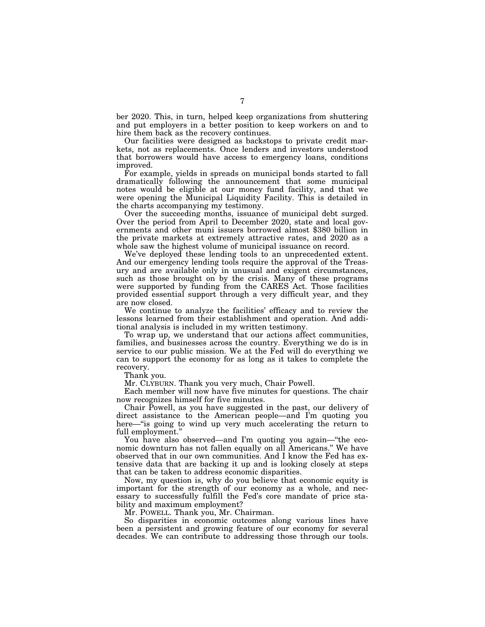ber 2020. This, in turn, helped keep organizations from shuttering and put employers in a better position to keep workers on and to hire them back as the recovery continues.

Our facilities were designed as backstops to private credit markets, not as replacements. Once lenders and investors understood that borrowers would have access to emergency loans, conditions improved.

For example, yields in spreads on municipal bonds started to fall dramatically following the announcement that some municipal notes would be eligible at our money fund facility, and that we were opening the Municipal Liquidity Facility. This is detailed in the charts accompanying my testimony.

Over the succeeding months, issuance of municipal debt surged. Over the period from April to December 2020, state and local governments and other muni issuers borrowed almost \$380 billion in the private markets at extremely attractive rates, and 2020 as a whole saw the highest volume of municipal issuance on record.

We've deployed these lending tools to an unprecedented extent. And our emergency lending tools require the approval of the Treasury and are available only in unusual and exigent circumstances, such as those brought on by the crisis. Many of these programs were supported by funding from the CARES Act. Those facilities provided essential support through a very difficult year, and they are now closed.

We continue to analyze the facilities' efficacy and to review the lessons learned from their establishment and operation. And additional analysis is included in my written testimony.

To wrap up, we understand that our actions affect communities, families, and businesses across the country. Everything we do is in service to our public mission. We at the Fed will do everything we can to support the economy for as long as it takes to complete the recovery.

Thank you.

Mr. CLYBURN. Thank you very much, Chair Powell.

Each member will now have five minutes for questions. The chair now recognizes himself for five minutes.

Chair Powell, as you have suggested in the past, our delivery of direct assistance to the American people—and I'm quoting you here—"is going to wind up very much accelerating the return to full employment.''

You have also observed—and I'm quoting you again—''the economic downturn has not fallen equally on all Americans.'' We have observed that in our own communities. And I know the Fed has extensive data that are backing it up and is looking closely at steps that can be taken to address economic disparities.

Now, my question is, why do you believe that economic equity is important for the strength of our economy as a whole, and necessary to successfully fulfill the Fed's core mandate of price stability and maximum employment?

Mr. POWELL. Thank you, Mr. Chairman.

So disparities in economic outcomes along various lines have been a persistent and growing feature of our economy for several decades. We can contribute to addressing those through our tools.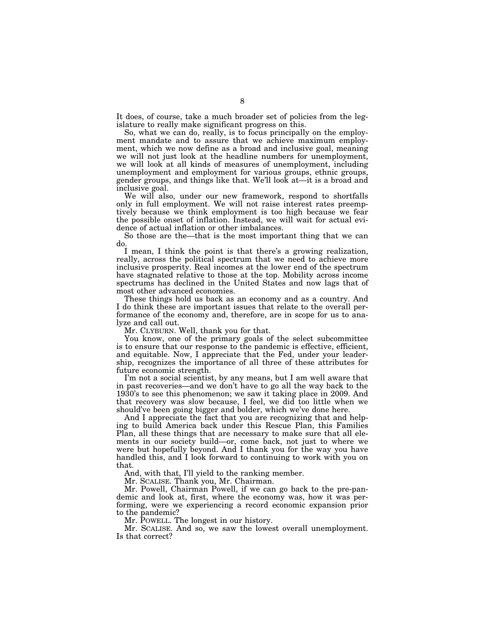It does, of course, take a much broader set of policies from the legislature to really make significant progress on this.

So, what we can do, really, is to focus principally on the employment mandate and to assure that we achieve maximum employment, which we now define as a broad and inclusive goal, meaning we will not just look at the headline numbers for unemployment, we will look at all kinds of measures of unemployment, including unemployment and employment for various groups, ethnic groups, gender groups, and things like that. We'll look at—it is a broad and inclusive goal.

We will also, under our new framework, respond to shortfalls only in full employment. We will not raise interest rates preemptively because we think employment is too high because we fear the possible onset of inflation. Instead, we will wait for actual evidence of actual inflation or other imbalances.

So those are the—that is the most important thing that we can do.

I mean, I think the point is that there's a growing realization, really, across the political spectrum that we need to achieve more inclusive prosperity. Real incomes at the lower end of the spectrum have stagnated relative to those at the top. Mobility across income spectrums has declined in the United States and now lags that of most other advanced economies.

These things hold us back as an economy and as a country. And I do think these are important issues that relate to the overall performance of the economy and, therefore, are in scope for us to analyze and call out.

Mr. CLYBURN. Well, thank you for that.

You know, one of the primary goals of the select subcommittee is to ensure that our response to the pandemic is effective, efficient, and equitable. Now, I appreciate that the Fed, under your leadership, recognizes the importance of all three of these attributes for future economic strength.

I'm not a social scientist, by any means, but I am well aware that in past recoveries—and we don't have to go all the way back to the 1930's to see this phenomenon; we saw it taking place in 2009. And that recovery was slow because, I feel, we did too little when we should've been going bigger and bolder, which we've done here.

And I appreciate the fact that you are recognizing that and helping to build America back under this Rescue Plan, this Families Plan, all these things that are necessary to make sure that all elements in our society build—or, come back, not just to where we were but hopefully beyond. And I thank you for the way you have handled this, and I look forward to continuing to work with you on that.

And, with that, I'll yield to the ranking member.

Mr. SCALISE. Thank you, Mr. Chairman.

Mr. Powell, Chairman Powell, if we can go back to the pre-pandemic and look at, first, where the economy was, how it was performing, were we experiencing a record economic expansion prior to the pandemic?

Mr. POWELL. The longest in our history.

Mr. SCALISE. And so, we saw the lowest overall unemployment. Is that correct?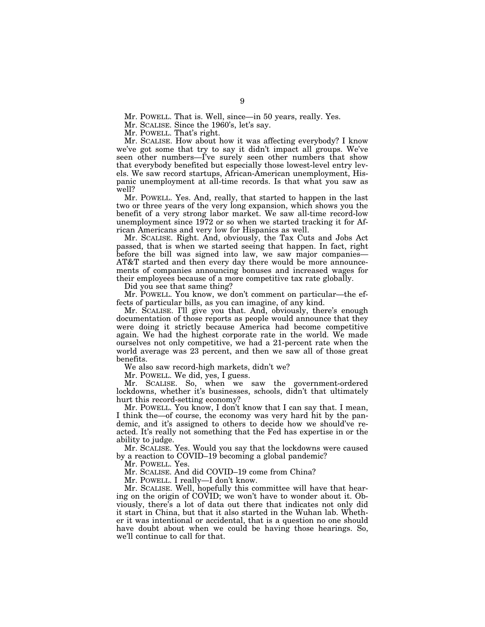Mr. POWELL. That is. Well, since—in 50 years, really. Yes.

Mr. SCALISE. Since the 1960's, let's say.

Mr. POWELL. That's right.

Mr. SCALISE. How about how it was affecting everybody? I know we've got some that try to say it didn't impact all groups. We've seen other numbers—I've surely seen other numbers that show that everybody benefited but especially those lowest-level entry levels. We saw record startups, African-American unemployment, Hispanic unemployment at all-time records. Is that what you saw as well?

Mr. POWELL. Yes. And, really, that started to happen in the last two or three years of the very long expansion, which shows you the benefit of a very strong labor market. We saw all-time record-low unemployment since 1972 or so when we started tracking it for African Americans and very low for Hispanics as well.

Mr. SCALISE. Right. And, obviously, the Tax Cuts and Jobs Act passed, that is when we started seeing that happen. In fact, right before the bill was signed into law, we saw major companies— AT&T started and then every day there would be more announcements of companies announcing bonuses and increased wages for their employees because of a more competitive tax rate globally.

Did you see that same thing?

Mr. POWELL. You know, we don't comment on particular—the effects of particular bills, as you can imagine, of any kind.

Mr. SCALISE. I'll give you that. And, obviously, there's enough documentation of those reports as people would announce that they were doing it strictly because America had become competitive again. We had the highest corporate rate in the world. We made ourselves not only competitive, we had a 21-percent rate when the world average was 23 percent, and then we saw all of those great benefits.

We also saw record-high markets, didn't we?

Mr. POWELL. We did, yes, I guess.

Mr. SCALISE. So, when we saw the government-ordered lockdowns, whether it's businesses, schools, didn't that ultimately hurt this record-setting economy?

Mr. POWELL. You know, I don't know that I can say that. I mean, I think the—of course, the economy was very hard hit by the pandemic, and it's assigned to others to decide how we should've reacted. It's really not something that the Fed has expertise in or the ability to judge.

Mr. SCALISE. Yes. Would you say that the lockdowns were caused by a reaction to COVID–19 becoming a global pandemic?

Mr. POWELL. Yes.

Mr. SCALISE. And did COVID–19 come from China?

Mr. POWELL. I really—I don't know.

Mr. SCALISE. Well, hopefully this committee will have that hearing on the origin of COVID; we won't have to wonder about it. Obviously, there's a lot of data out there that indicates not only did it start in China, but that it also started in the Wuhan lab. Whether it was intentional or accidental, that is a question no one should have doubt about when we could be having those hearings. So, we'll continue to call for that.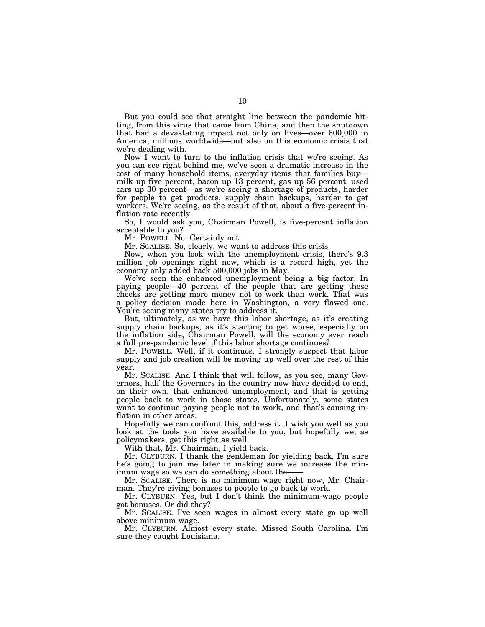But you could see that straight line between the pandemic hitting, from this virus that came from China, and then the shutdown that had a devastating impact not only on lives—over 600,000 in America, millions worldwide—but also on this economic crisis that we're dealing with.

Now I want to turn to the inflation crisis that we're seeing. As you can see right behind me, we've seen a dramatic increase in the cost of many household items, everyday items that families buy milk up five percent, bacon up 13 percent, gas up 56 percent, used cars up 30 percent—as we're seeing a shortage of products, harder for people to get products, supply chain backups, harder to get workers. We're seeing, as the result of that, about a five-percent inflation rate recently.

So, I would ask you, Chairman Powell, is five-percent inflation acceptable to you?

Mr. POWELL. No. Certainly not.

Mr. SCALISE. So, clearly, we want to address this crisis.

Now, when you look with the unemployment crisis, there's 9.3 million job openings right now, which is a record high, yet the economy only added back 500,000 jobs in May.

We've seen the enhanced unemployment being a big factor. In paying people—40 percent of the people that are getting these checks are getting more money not to work than work. That was a policy decision made here in Washington, a very flawed one. You're seeing many states try to address it.

But, ultimately, as we have this labor shortage, as it's creating supply chain backups, as it's starting to get worse, especially on the inflation side, Chairman Powell, will the economy ever reach a full pre-pandemic level if this labor shortage continues?

Mr. POWELL. Well, if it continues. I strongly suspect that labor supply and job creation will be moving up well over the rest of this year.

Mr. SCALISE. And I think that will follow, as you see, many Governors, half the Governors in the country now have decided to end, on their own, that enhanced unemployment, and that is getting people back to work in those states. Unfortunately, some states want to continue paying people not to work, and that's causing inflation in other areas.

Hopefully we can confront this, address it. I wish you well as you look at the tools you have available to you, but hopefully we, as policymakers, get this right as well.

With that, Mr. Chairman, I yield back.

Mr. CLYBURN. I thank the gentleman for yielding back. I'm sure he's going to join me later in making sure we increase the minimum wage so we can do something about the-

Mr. SCALISE. There is no minimum wage right now, Mr. Chairman. They're giving bonuses to people to go back to work.

Mr. CLYBURN. Yes, but I don't think the minimum-wage people got bonuses. Or did they?

Mr. SCALISE. I've seen wages in almost every state go up well above minimum wage.

Mr. CLYBURN. Almost every state. Missed South Carolina. I'm sure they caught Louisiana.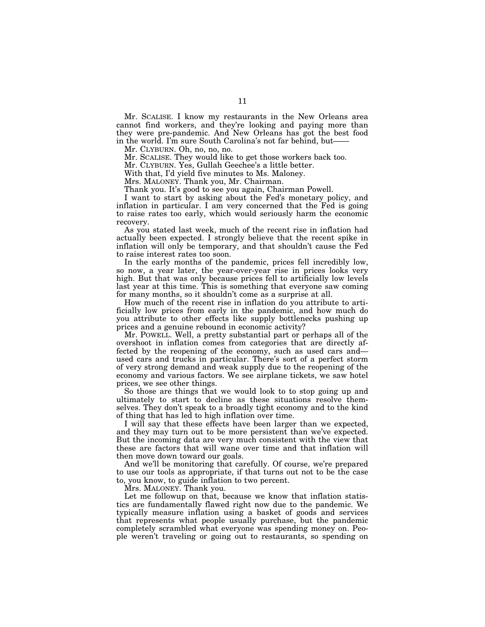Mr. SCALISE. I know my restaurants in the New Orleans area cannot find workers, and they're looking and paying more than they were pre-pandemic. And New Orleans has got the best food in the world. I'm sure South Carolina's not far behind, but-

Mr. CLYBURN. Oh, no, no, no.

Mr. SCALISE. They would like to get those workers back too.

Mr. CLYBURN. Yes, Gullah Geechee's a little better.

With that, I'd yield five minutes to Ms. Maloney.

Mrs. MALONEY. Thank you, Mr. Chairman.

Thank you. It's good to see you again, Chairman Powell.

I want to start by asking about the Fed's monetary policy, and inflation in particular. I am very concerned that the Fed is going to raise rates too early, which would seriously harm the economic recovery.

As you stated last week, much of the recent rise in inflation had actually been expected. I strongly believe that the recent spike in inflation will only be temporary, and that shouldn't cause the Fed to raise interest rates too soon.

In the early months of the pandemic, prices fell incredibly low, so now, a year later, the year-over-year rise in prices looks very high. But that was only because prices fell to artificially low levels last year at this time. This is something that everyone saw coming for many months, so it shouldn't come as a surprise at all.

How much of the recent rise in inflation do you attribute to artificially low prices from early in the pandemic, and how much do you attribute to other effects like supply bottlenecks pushing up prices and a genuine rebound in economic activity?

Mr. POWELL. Well, a pretty substantial part or perhaps all of the overshoot in inflation comes from categories that are directly affected by the reopening of the economy, such as used cars and used cars and trucks in particular. There's sort of a perfect storm of very strong demand and weak supply due to the reopening of the economy and various factors. We see airplane tickets, we saw hotel prices, we see other things.

So those are things that we would look to to stop going up and ultimately to start to decline as these situations resolve themselves. They don't speak to a broadly tight economy and to the kind of thing that has led to high inflation over time.

I will say that these effects have been larger than we expected, and they may turn out to be more persistent than we've expected. But the incoming data are very much consistent with the view that these are factors that will wane over time and that inflation will then move down toward our goals.

And we'll be monitoring that carefully. Of course, we're prepared to use our tools as appropriate, if that turns out not to be the case to, you know, to guide inflation to two percent.

Mrs. MALONEY. Thank you.

Let me followup on that, because we know that inflation statistics are fundamentally flawed right now due to the pandemic. We typically measure inflation using a basket of goods and services that represents what people usually purchase, but the pandemic completely scrambled what everyone was spending money on. People weren't traveling or going out to restaurants, so spending on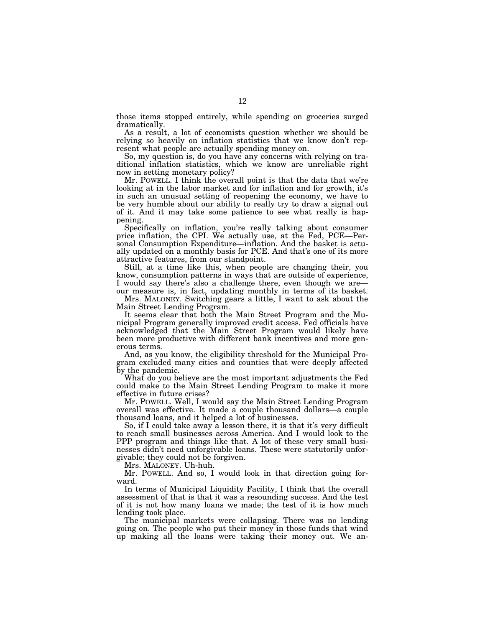those items stopped entirely, while spending on groceries surged dramatically.

As a result, a lot of economists question whether we should be relying so heavily on inflation statistics that we know don't represent what people are actually spending money on.

So, my question is, do you have any concerns with relying on traditional inflation statistics, which we know are unreliable right now in setting monetary policy?

Mr. POWELL. I think the overall point is that the data that we're looking at in the labor market and for inflation and for growth, it's in such an unusual setting of reopening the economy, we have to be very humble about our ability to really try to draw a signal out of it. And it may take some patience to see what really is happening.

Specifically on inflation, you're really talking about consumer price inflation, the CPI. We actually use, at the Fed, PCE—Personal Consumption Expenditure—inflation. And the basket is actually updated on a monthly basis for PCE. And that's one of its more attractive features, from our standpoint.

Still, at a time like this, when people are changing their, you know, consumption patterns in ways that are outside of experience, I would say there's also a challenge there, even though we areour measure is, in fact, updating monthly in terms of its basket.

Mrs. MALONEY. Switching gears a little, I want to ask about the Main Street Lending Program.

It seems clear that both the Main Street Program and the Municipal Program generally improved credit access. Fed officials have acknowledged that the Main Street Program would likely have been more productive with different bank incentives and more generous terms.

And, as you know, the eligibility threshold for the Municipal Program excluded many cities and counties that were deeply affected by the pandemic.

What do you believe are the most important adjustments the Fed could make to the Main Street Lending Program to make it more effective in future crises?

Mr. POWELL. Well, I would say the Main Street Lending Program overall was effective. It made a couple thousand dollars—a couple thousand loans, and it helped a lot of businesses.

So, if I could take away a lesson there, it is that it's very difficult to reach small businesses across America. And I would look to the PPP program and things like that. A lot of these very small businesses didn't need unforgivable loans. These were statutorily unforgivable; they could not be forgiven.

Mrs. MALONEY. Uh-huh.

Mr. POWELL. And so, I would look in that direction going forward.

In terms of Municipal Liquidity Facility, I think that the overall assessment of that is that it was a resounding success. And the test of it is not how many loans we made; the test of it is how much lending took place.

The municipal markets were collapsing. There was no lending going on. The people who put their money in those funds that wind up making all the loans were taking their money out. We an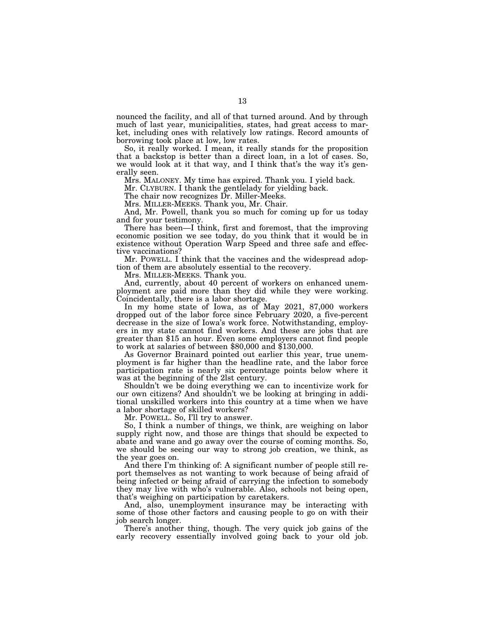nounced the facility, and all of that turned around. And by through much of last year, municipalities, states, had great access to market, including ones with relatively low ratings. Record amounts of borrowing took place at low, low rates.

So, it really worked. I mean, it really stands for the proposition that a backstop is better than a direct loan, in a lot of cases. So, we would look at it that way, and I think that's the way it's generally seen.

Mrs. MALONEY. My time has expired. Thank you. I yield back.

Mr. CLYBURN. I thank the gentielady for yielding back.

The chair now recognizes Dr. Miller-Meeks.

Mrs. MILLER-MEEKS. Thank you, Mr. Chair.

And, Mr. Powell, thank you so much for coming up for us today and for your testimony.

There has been—I think, first and foremost, that the improving economic position we see today, do you think that it would be in existence without Operation Warp Speed and three safe and effective vaccinations?

Mr. POWELL. I think that the vaccines and the widespread adoption of them are absolutely essential to the recovery.

Mrs. MILLER-MEEKS. Thank you.

And, currently, about 40 percent of workers on enhanced unemployment are paid more than they did while they were working. Coincidentally, there is a labor shortage.

In my home state of Iowa, as of May 2021, 87,000 workers dropped out of the labor force since February 2020, a five-percent decrease in the size of Iowa's work force. Notwithstanding, employers in my state cannot find workers. And these are jobs that are greater than \$15 an hour. Even some employers cannot find people to work at salaries of between \$80,000 and \$130,000.

As Governor Brainard pointed out earlier this year, true unemployment is far higher than the headline rate, and the labor force participation rate is nearly six percentage points below where it was at the beginning of the 2lst century.

Shouldn't we be doing everything we can to incentivize work for our own citizens? And shouldn't we be looking at bringing in additional unskilled workers into this country at a time when we have a labor shortage of skilled workers?

Mr. POWELL. So, I'll try to answer.

So, I think a number of things, we think, are weighing on labor supply right now, and those are things that should be expected to abate and wane and go away over the course of coming months. So, we should be seeing our way to strong job creation, we think, as the year goes on.

And there I'm thinking of: A significant number of people still report themselves as not wanting to work because of being afraid of being infected or being afraid of carrying the infection to somebody they may live with who's vulnerable. Also, schools not being open, that's weighing on participation by caretakers.

And, also, unemployment insurance may be interacting with some of those other factors and causing people to go on with their job search longer.

There's another thing, though. The very quick job gains of the early recovery essentially involved going back to your old job.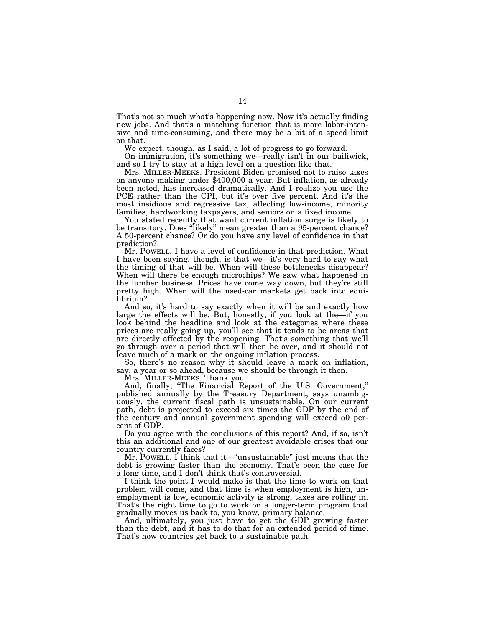That's not so much what's happening now. Now it's actually finding new jobs. And that's a matching function that is more labor-intensive and time-consuming, and there may be a bit of a speed limit on that.

We expect, though, as I said, a lot of progress to go forward.

On immigration, it's something we—really isn't in our bailiwick, and so I try to stay at a high level on a question like that.<br>Mrs. MILLER-MEEKS. President Biden promised not to raise taxes

on anyone making under \$400,000 a year. But inflation, as already been noted, has increased dramatically. And I realize you use the PCE rather than the CPI, but it's over five percent. And it's the most insidious and regressive tax, affecting low-income, minority families, hardworking taxpayers, and seniors on a fixed income.

You stated recently that want current inflation surge is likely to be transitory. Does "likely" mean greater than a 95-percent chance? A 50-percent chance? Or do you have any level of confidence in that prediction?

Mr. POWELL. I have a level of confidence in that prediction. What I have been saying, though, is that we—it's very hard to say what the timing of that will be. When will these bottlenecks disappear? When will there be enough microchips? We saw what happened in the lumber business. Prices have come way down, but they're still pretty high. When will the used-car markets get back into equilibrium?

And so, it's hard to say exactly when it will be and exactly how large the effects will be. But, honestly, if you look at the—if you look behind the headline and look at the categories where these prices are really going up, you'll see that it tends to be areas that are directly affected by the reopening. That's something that we'll go through over a period that will then be over, and it should not leave much of a mark on the ongoing inflation process.

So, there's no reason why it should leave a mark on inflation, say, a year or so ahead, because we should be through it then.

Mrs. MILLER-MEEKS. Thank you.

And, finally, ''The Financial Report of the U.S. Government,'' published annually by the Treasury Department, says unambiguously, the current fiscal path is unsustainable. On our current path, debt is projected to exceed six times the GDP by the end of the century and annual government spending will exceed 50 percent of GDP.

Do you agree with the conclusions of this report? And, if so, isn't this an additional and one of our greatest avoidable crises that our country currently faces?

Mr. POWELL. I think that it—''unsustainable'' just means that the debt is growing faster than the economy. That's been the case for a long time, and I don't think that's controversial.

I think the point I would make is that the time to work on that problem will come, and that time is when employment is high, unemployment is low, economic activity is strong, taxes are rolling in. That's the right time to go to work on a longer-term program that gradually moves us back to, you know, primary balance.

And, ultimately, you just have to get the GDP growing faster than the debt, and it has to do that for an extended period of time. That's how countries get back to a sustainable path.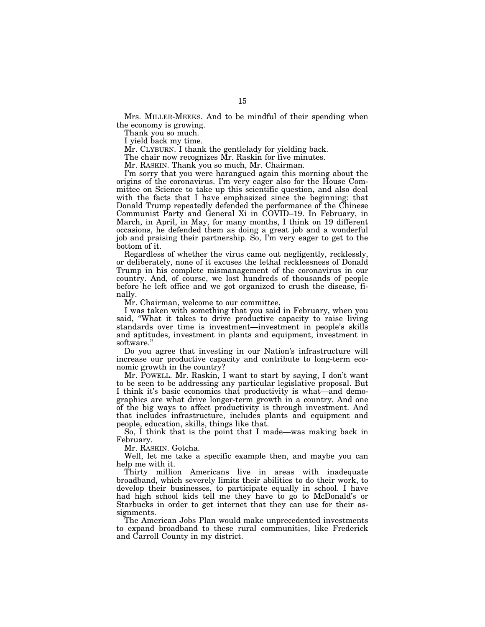Mrs. MILLER-MEEKS. And to be mindful of their spending when the economy is growing.

Thank you so much.

I yield back my time.

Mr. CLYBURN. I thank the gentlelady for yielding back.

The chair now recognizes Mr. Raskin for five minutes.

Mr. RASKIN. Thank you so much, Mr. Chairman.

I'm sorry that you were harangued again this morning about the origins of the coronavirus. I'm very eager also for the House Committee on Science to take up this scientific question, and also deal with the facts that I have emphasized since the beginning: that Donald Trump repeatedly defended the performance of the Chinese Communist Party and General Xi in COVID–19. In February, in March, in April, in May, for many months, I think on 19 different occasions, he defended them as doing a great job and a wonderful job and praising their partnership. So, I'm very eager to get to the bottom of it.

Regardless of whether the virus came out negligently, recklessly, or deliberately, none of it excuses the lethal recklessness of Donald Trump in his complete mismanagement of the coronavirus in our country. And, of course, we lost hundreds of thousands of people before he left office and we got organized to crush the disease, finally.

Mr. Chairman, welcome to our committee.

I was taken with something that you said in February, when you said, ''What it takes to drive productive capacity to raise living standards over time is investment—investment in people's skills and aptitudes, investment in plants and equipment, investment in software.''

Do you agree that investing in our Nation's infrastructure will increase our productive capacity and contribute to long-term economic growth in the country?

Mr. POWELL. Mr. Raskin, I want to start by saying, I don't want to be seen to be addressing any particular legislative proposal. But I think it's basic economics that productivity is what—and demographics are what drive longer-term growth in a country. And one of the big ways to affect productivity is through investment. And that includes infrastructure, includes plants and equipment and people, education, skills, things like that.

So, I think that is the point that I made—was making back in February.

Mr. RASKIN. Gotcha.

Well, let me take a specific example then, and maybe you can help me with it.

Thirty million Americans live in areas with inadequate broadband, which severely limits their abilities to do their work, to develop their businesses, to participate equally in school. I have had high school kids tell me they have to go to McDonald's or Starbucks in order to get internet that they can use for their assignments.

The American Jobs Plan would make unprecedented investments to expand broadband to these rural communities, like Frederick and Carroll County in my district.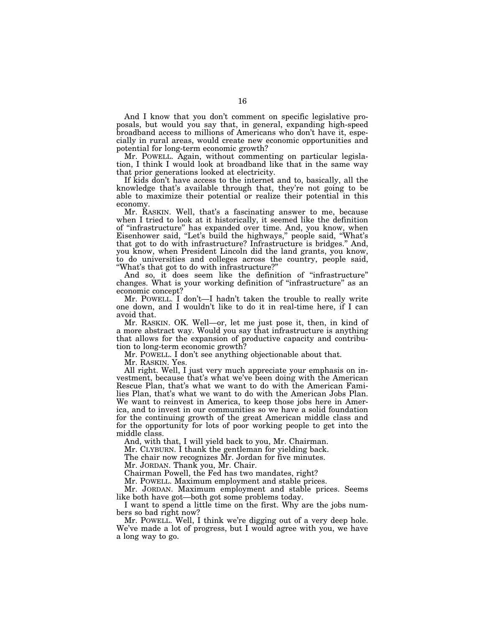And I know that you don't comment on specific legislative proposals, but would you say that, in general, expanding high-speed broadband access to millions of Americans who don't have it, especially in rural areas, would create new economic opportunities and potential for long-term economic growth?

Mr. POWELL. Again, without commenting on particular legislation, I think I would look at broadband like that in the same way that prior generations looked at electricity.

If kids don't have access to the internet and to, basically, all the knowledge that's available through that, they're not going to be able to maximize their potential or realize their potential in this economy.

Mr. RASKIN. Well, that's a fascinating answer to me, because when I tried to look at it historically, it seemed like the definition of ''infrastructure'' has expanded over time. And, you know, when Eisenhower said, "Let's build the highways," people said, "What's that got to do with infrastructure? Infrastructure is bridges.'' And, you know, when President Lincoln did the land grants, you know, to do universities and colleges across the country, people said, ''What's that got to do with infrastructure?''

And so, it does seem like the definition of ''infrastructure'' changes. What is your working definition of ''infrastructure'' as an economic concept?

Mr. POWELL. I don't—I hadn't taken the trouble to really write one down, and I wouldn't like to do it in real-time here, if I can avoid that.

Mr. RASKIN. OK. Well—or, let me just pose it, then, in kind of a more abstract way. Would you say that infrastructure is anything that allows for the expansion of productive capacity and contribution to long-term economic growth?

Mr. POWELL. I don't see anything objectionable about that.

Mr. RASKIN. Yes.

All right. Well, I just very much appreciate your emphasis on investment, because that's what we've been doing with the American Rescue Plan, that's what we want to do with the American Families Plan, that's what we want to do with the American Jobs Plan. We want to reinvest in America, to keep those jobs here in America, and to invest in our communities so we have a solid foundation for the continuing growth of the great American middle class and for the opportunity for lots of poor working people to get into the middle class.

And, with that, I will yield back to you, Mr. Chairman.

Mr. CLYBURN. I thank the gentleman for yielding back.

The chair now recognizes Mr. Jordan for five minutes.

Mr. JORDAN. Thank you, Mr. Chair.

Chairman Powell, the Fed has two mandates, right?

Mr. POWELL. Maximum employment and stable prices.

Mr. JORDAN. Maximum employment and stable prices. Seems like both have got—both got some problems today.

I want to spend a little time on the first. Why are the jobs numbers so bad right now?

Mr. POWELL. Well, I think we're digging out of a very deep hole. We've made a lot of progress, but I would agree with you, we have a long way to go.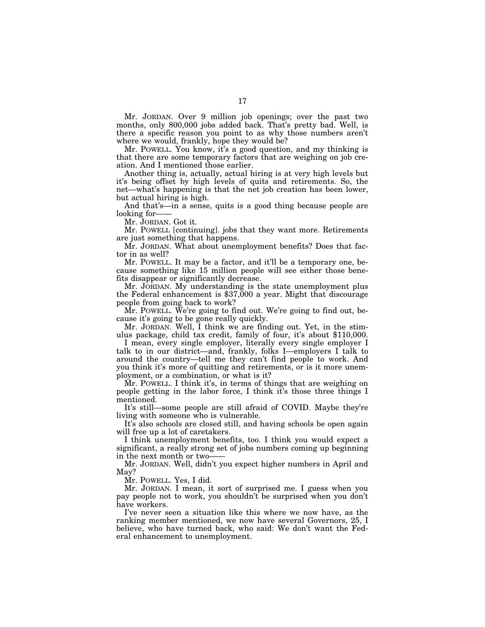Mr. JORDAN. Over 9 million job openings; over the past two months, only 800,000 jobs added back. That's pretty bad. Well, is there a specific reason you point to as why those numbers aren't where we would, frankly, hope they would be?

Mr. POWELL. You know, it's a good question, and my thinking is that there are some temporary factors that are weighing on job creation. And I mentioned those earlier.

Another thing is, actually, actual hiring is at very high levels but it's being offset by high levels of quits and retirements. So, the net—what's happening is that the net job creation has been lower, but actual hiring is high.

And that's—in a sense, quits is a good thing because people are looking for-

Mr. JORDAN. Got it.

Mr. POWELL [continuing]. jobs that they want more. Retirements are just something that happens.

Mr. JORDAN. What about unemployment benefits? Does that factor in as well?

Mr. POWELL. It may be a factor, and it'll be a temporary one, because something like 15 million people will see either those benefits disappear or significantly decrease.

Mr. JORDAN. My understanding is the state unemployment plus the Federal enhancement is \$37,000 a year. Might that discourage people from going back to work?

Mr. POWELL. We're going to find out. We're going to find out, because it's going to be gone really quickly.

Mr. JORDAN. Well, I think we are finding out. Yet, in the stimulus package, child tax credit, family of four, it's about \$110,000.

I mean, every single employer, literally every single employer I talk to in our district—and, frankly, folks I—employers I talk to around the country—tell me they can't find people to work. And you think it's more of quitting and retirements, or is it more unemployment, or a combination, or what is it?

Mr. POWELL. I think it's, in terms of things that are weighing on people getting in the labor force, I think it's those three things I mentioned.

It's still—some people are still afraid of COVID. Maybe they're living with someone who is vulnerable.

It's also schools are closed still, and having schools be open again will free up a lot of caretakers.

I think unemployment benefits, too. I think you would expect a significant, a really strong set of jobs numbers coming up beginning in the next month or two-

Mr. JORDAN. Well, didn't you expect higher numbers in April and May?

Mr. POWELL. Yes, I did.

Mr. JORDAN. I mean, it sort of surprised me. I guess when you pay people not to work, you shouldn't be surprised when you don't have workers.

I've never seen a situation like this where we now have, as the ranking member mentioned, we now have several Governors, 25, I believe, who have turned back, who said: We don't want the Federal enhancement to unemployment.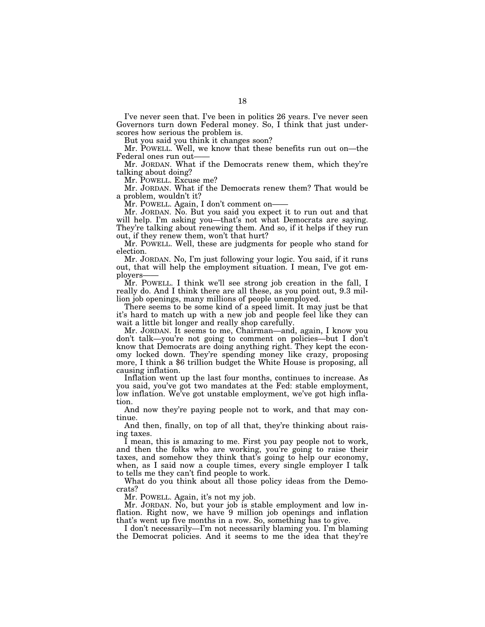I've never seen that. I've been in politics 26 years. I've never seen Governors turn down Federal money. So, I think that just underscores how serious the problem is.

But you said you think it changes soon?

Mr. POWELL. Well, we know that these benefits run out on—the Federal ones run out-

Mr. JORDAN. What if the Democrats renew them, which they're talking about doing?

Mr. POWELL. Excuse me?

Mr. JORDAN. What if the Democrats renew them? That would be a problem, wouldn't it?

Mr. POWELL. Again, I don't comment on-

Mr. JORDAN. No. But you said you expect it to run out and that will help. I'm asking you—that's not what Democrats are saying. They're talking about renewing them. And so, if it helps if they run out, if they renew them, won't that hurt?

Mr. POWELL. Well, these are judgments for people who stand for election.

Mr. JORDAN. No, I'm just following your logic. You said, if it runs out, that will help the employment situation. I mean, I've got employers

Mr. POWELL. I think we'll see strong job creation in the fall, I really do. And I think there are all these, as you point out, 9.3 million job openings, many millions of people unemployed.

There seems to be some kind of a speed limit. It may just be that it's hard to match up with a new job and people feel like they can wait a little bit longer and really shop carefully.

Mr. JORDAN. It seems to me, Chairman—and, again, I know you don't talk—you're not going to comment on policies—but I don't know that Democrats are doing anything right. They kept the economy locked down. They're spending money like crazy, proposing more, I think a \$6 trillion budget the White House is proposing, all causing inflation.

Inflation went up the last four months, continues to increase. As you said, you've got two mandates at the Fed: stable employment, low inflation. We've got unstable employment, we've got high inflation.

And now they're paying people not to work, and that may continue.

And then, finally, on top of all that, they're thinking about raising taxes.

I mean, this is amazing to me. First you pay people not to work, and then the folks who are working, you're going to raise their taxes, and somehow they think that's going to help our economy, when, as I said now a couple times, every single employer I talk to tells me they can't find people to work.

What do you think about all those policy ideas from the Democrats?

Mr. POWELL. Again, it's not my job.

Mr. JORDAN. No, but your job is stable employment and low inflation. Right now, we have 9 million job openings and inflation that's went up five months in a row. So, something has to give.

I don't necessarily—I'm not necessarily blaming you. I'm blaming the Democrat policies. And it seems to me the idea that they're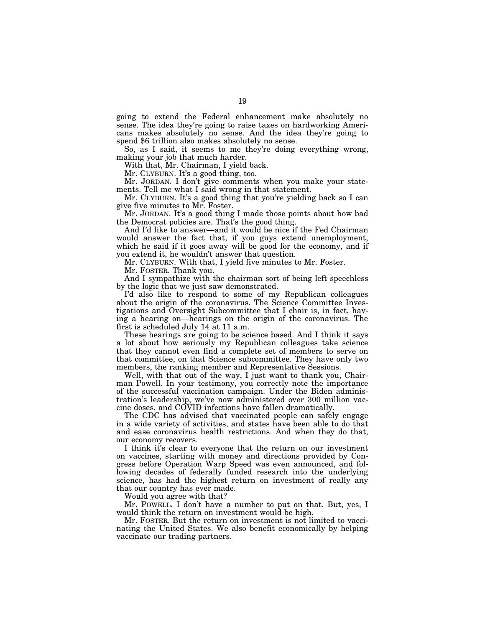going to extend the Federal enhancement make absolutely no sense. The idea they're going to raise taxes on hardworking Americans makes absolutely no sense. And the idea they're going to spend \$6 trillion also makes absolutely no sense.

So, as I said, it seems to me they're doing everything wrong, making your job that much harder.

With that, Mr. Chairman, I yield back.

Mr. CLYBURN. It's a good thing, too.

Mr. JORDAN. I don't give comments when you make your statements. Tell me what I said wrong in that statement.

Mr. CLYBURN. It's a good thing that you're yielding back so I can give five minutes to Mr. Foster.

Mr. JORDAN. It's a good thing I made those points about how bad the Democrat policies are. That's the good thing.

And I'd like to answer—and it would be nice if the Fed Chairman would answer the fact that, if you guys extend unemployment, which he said if it goes away will be good for the economy, and if you extend it, he wouldn't answer that question.

Mr. CLYBURN. With that, I yield five minutes to Mr. Foster.

Mr. FOSTER. Thank you.

And I sympathize with the chairman sort of being left speechless by the logic that we just saw demonstrated.

I'd also like to respond to some of my Republican colleagues about the origin of the coronavirus. The Science Committee Investigations and Oversight Subcommittee that I chair is, in fact, having a hearing on—hearings on the origin of the coronavirus. The first is scheduled July 14 at 11 a.m.

These hearings are going to be science based. And I think it says a lot about how seriously my Republican colleagues take science that they cannot even find a complete set of members to serve on that committee, on that Science subcommittee. They have only two members, the ranking member and Representative Sessions.

Well, with that out of the way, I just want to thank you, Chairman Powell. In your testimony, you correctly note the importance of the successful vaccination campaign. Under the Biden administration's leadership, we've now administered over 300 million vaccine doses, and COVID infections have fallen dramatically.

The CDC has advised that vaccinated people can safely engage in a wide variety of activities, and states have been able to do that and ease coronavirus health restrictions. And when they do that, our economy recovers.

I think it's clear to everyone that the return on our investment on vaccines, starting with money and directions provided by Congress before Operation Warp Speed was even announced, and following decades of federally funded research into the underlying science, has had the highest return on investment of really any that our country has ever made.

Would you agree with that?

Mr. POWELL. I don't have a number to put on that. But, yes, I would think the return on investment would be high.

Mr. FOSTER. But the return on investment is not limited to vaccinating the United States. We also benefit economically by helping vaccinate our trading partners.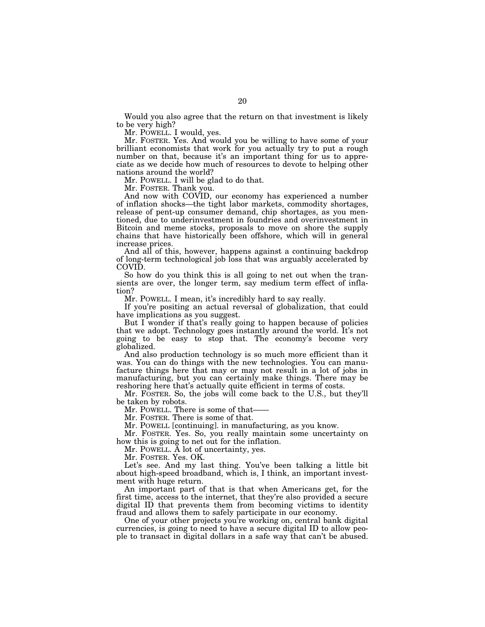Would you also agree that the return on that investment is likely to be very high?

Mr. POWELL. I would, yes.

Mr. FOSTER. Yes. And would you be willing to have some of your brilliant economists that work for you actually try to put a rough number on that, because it's an important thing for us to appreciate as we decide how much of resources to devote to helping other nations around the world?

Mr. POWELL. I will be glad to do that.

Mr. FOSTER. Thank you.

And now with COVID, our economy has experienced a number of inflation shocks—the tight labor markets, commodity shortages, release of pent-up consumer demand, chip shortages, as you mentioned, due to underinvestment in foundries and overinvestment in Bitcoin and meme stocks, proposals to move on shore the supply chains that have historically been offshore, which will in general increase prices.

And all of this, however, happens against a continuing backdrop of long-term technological job loss that was arguably accelerated by COVID.

So how do you think this is all going to net out when the transients are over, the longer term, say medium term effect of inflation?

Mr. POWELL. I mean, it's incredibly hard to say really.

If you're positing an actual reversal of globalization, that could have implications as you suggest.

But I wonder if that's really going to happen because of policies that we adopt. Technology goes instantly around the world. It's not going to be easy to stop that. The economy's become very globalized.

And also production technology is so much more efficient than it was. You can do things with the new technologies. You can manufacture things here that may or may not result in a lot of jobs in manufacturing, but you can certainly make things. There may be reshoring here that's actually quite efficient in terms of costs.

Mr. FOSTER. So, the jobs will come back to the U.S., but they'll be taken by robots.

Mr. POWELL. There is some of that——

Mr. FOSTER. There is some of that.

Mr. POWELL [continuing]. in manufacturing, as you know.

Mr. FOSTER. Yes. So, you really maintain some uncertainty on how this is going to net out for the inflation.

Mr. POWELL. A lot of uncertainty, yes.

Mr. FOSTER. Yes. OK.

Let's see. And my last thing. You've been talking a little bit about high-speed broadband, which is, I think, an important investment with huge return.

An important part of that is that when Americans get, for the first time, access to the internet, that they're also provided a secure digital ID that prevents them from becoming victims to identity fraud and allows them to safely participate in our economy.

One of your other projects you're working on, central bank digital currencies, is going to need to have a secure digital ID to allow people to transact in digital dollars in a safe way that can't be abused.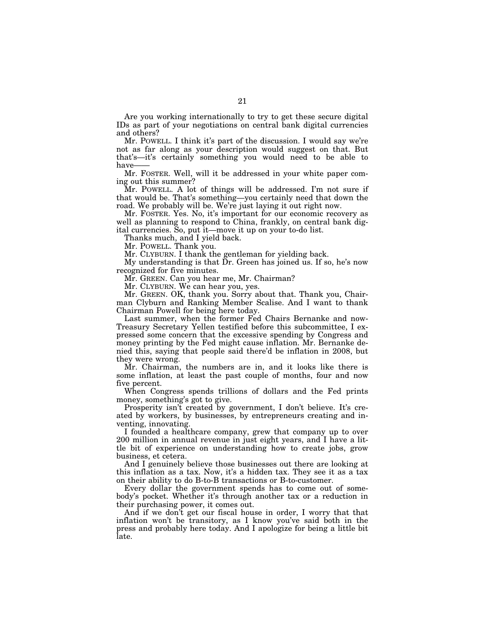Are you working internationally to try to get these secure digital IDs as part of your negotiations on central bank digital currencies and others?

Mr. POWELL. I think it's part of the discussion. I would say we're not as far along as your description would suggest on that. But that's—it's certainly something you would need to be able to have-

Mr. FOSTER. Well, will it be addressed in your white paper coming out this summer?

Mr. POWELL. A lot of things will be addressed. I'm not sure if that would be. That's something—you certainly need that down the road. We probably will be. We're just laying it out right now.

Mr. FOSTER. Yes. No, it's important for our economic recovery as well as planning to respond to China, frankly, on central bank digital currencies. So, put it—move it up on your to-do list.

Thanks much, and I yield back.

Mr. POWELL. Thank you.

Mr. CLYBURN. I thank the gentleman for yielding back.

My understanding is that Dr. Green has joined us. If so, he's now recognized for five minutes.

Mr. GREEN. Can you hear me, Mr. Chairman?

Mr. CLYBURN. We can hear you, yes.

Mr. GREEN. OK, thank you. Sorry about that. Thank you, Chairman Clyburn and Ranking Member Scalise. And I want to thank Chairman Powell for being here today.

Last summer, when the former Fed Chairs Bernanke and now-Treasury Secretary Yellen testified before this subcommittee, I expressed some concern that the excessive spending by Congress and money printing by the Fed might cause inflation. Mr. Bernanke denied this, saying that people said there'd be inflation in 2008, but they were wrong.

Mr. Chairman, the numbers are in, and it looks like there is some inflation, at least the past couple of months, four and now five percent.

When Congress spends trillions of dollars and the Fed prints money, something's got to give.

Prosperity isn't created by government, I don't believe. It's created by workers, by businesses, by entrepreneurs creating and inventing, innovating.

I founded a healthcare company, grew that company up to over 200 million in annual revenue in just eight years, and I have a little bit of experience on understanding how to create jobs, grow business, et cetera.

And I genuinely believe those businesses out there are looking at this inflation as a tax. Now, it's a hidden tax. They see it as a tax on their ability to do B-to-B transactions or B-to-customer.

Every dollar the government spends has to come out of somebody's pocket. Whether it's through another tax or a reduction in their purchasing power, it comes out.

And if we don't get our fiscal house in order, I worry that that inflation won't be transitory, as I know you've said both in the press and probably here today. And I apologize for being a little bit late.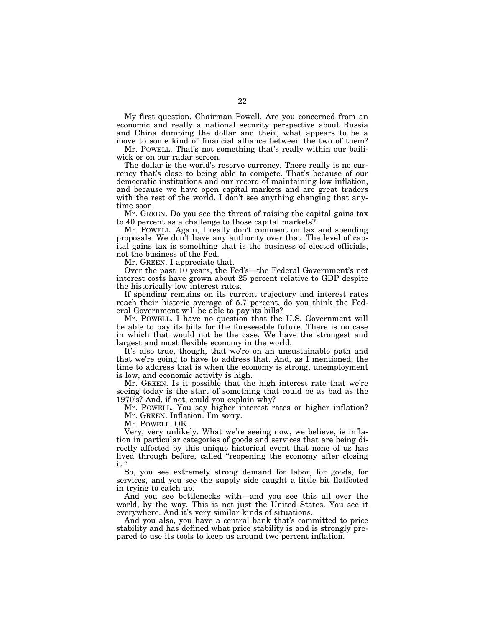My first question, Chairman Powell. Are you concerned from an economic and really a national security perspective about Russia and China dumping the dollar and their, what appears to be a move to some kind of financial alliance between the two of them?

Mr. POWELL. That's not something that's really within our bailiwick or on our radar screen.

The dollar is the world's reserve currency. There really is no currency that's close to being able to compete. That's because of our democratic institutions and our record of maintaining low inflation, and because we have open capital markets and are great traders with the rest of the world. I don't see anything changing that anytime soon.

Mr. GREEN. Do you see the threat of raising the capital gains tax to 40 percent as a challenge to those capital markets?

Mr. POWELL. Again, I really don't comment on tax and spending proposals. We don't have any authority over that. The level of capital gains tax is something that is the business of elected officials, not the business of the Fed.

Mr. GREEN. I appreciate that.

Over the past 10 years, the Fed's—the Federal Government's net interest costs have grown about 25 percent relative to GDP despite the historically low interest rates.

If spending remains on its current trajectory and interest rates reach their historic average of 5.7 percent, do you think the Federal Government will be able to pay its bills?

Mr. POWELL. I have no question that the U.S. Government will be able to pay its bills for the foreseeable future. There is no case in which that would not be the case. We have the strongest and largest and most flexible economy in the world.

It's also true, though, that we're on an unsustainable path and that we're going to have to address that. And, as I mentioned, the time to address that is when the economy is strong, unemployment is low, and economic activity is high.

Mr. GREEN. Is it possible that the high interest rate that we're seeing today is the start of something that could be as bad as the 1970's? And, if not, could you explain why?

Mr. POWELL. You say higher interest rates or higher inflation? Mr. GREEN. Inflation. I'm sorry.

Mr. POWELL. OK.

Very, very unlikely. What we're seeing now, we believe, is inflation in particular categories of goods and services that are being directly affected by this unique historical event that none of us has lived through before, called ''reopening the economy after closing it.''

So, you see extremely strong demand for labor, for goods, for services, and you see the supply side caught a little bit flatfooted in trying to catch up.

And you see bottlenecks with—and you see this all over the world, by the way. This is not just the United States. You see it everywhere. And it's very similar kinds of situations.

And you also, you have a central bank that's committed to price stability and has defined what price stability is and is strongly prepared to use its tools to keep us around two percent inflation.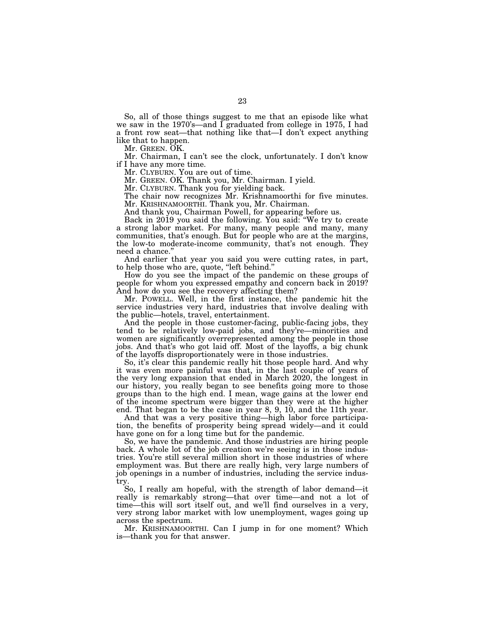So, all of those things suggest to me that an episode like what we saw in the 1970's—and I graduated from college in 1975, I had a front row seat—that nothing like that—I don't expect anything like that to happen.

Mr. GREEN. OK.

Mr. Chairman, I can't see the clock, unfortunately. I don't know if I have any more time.

Mr. CLYBURN. You are out of time.

Mr. GREEN. OK. Thank you, Mr. Chairman. I yield.

Mr. CLYBURN. Thank you for yielding back.

The chair now recognizes Mr. Krishnamoorthi for five minutes. Mr. KRISHNAMOORTHI. Thank you, Mr. Chairman.

And thank you, Chairman Powell, for appearing before us.

Back in 2019 you said the following. You said: ''We try to create a strong labor market. For many, many people and many, many communities, that's enough. But for people who are at the margins, the low-to moderate-income community, that's not enough. They need a chance.''

And earlier that year you said you were cutting rates, in part, to help those who are, quote, ''left behind.''

How do you see the impact of the pandemic on these groups of people for whom you expressed empathy and concern back in 2019? And how do you see the recovery affecting them?

Mr. POWELL. Well, in the first instance, the pandemic hit the service industries very hard, industries that involve dealing with the public—hotels, travel, entertainment.

And the people in those customer-facing, public-facing jobs, they tend to be relatively low-paid jobs, and they're—minorities and women are significantly overrepresented among the people in those jobs. And that's who got laid off. Most of the layoffs, a big chunk of the layoffs disproportionately were in those industries.

So, it's clear this pandemic really hit those people hard. And why it was even more painful was that, in the last couple of years of the very long expansion that ended in March 2020, the longest in our history, you really began to see benefits going more to those groups than to the high end. I mean, wage gains at the lower end of the income spectrum were bigger than they were at the higher end. That began to be the case in year 8, 9, 10, and the 11th year.

And that was a very positive thing—high labor force participation, the benefits of prosperity being spread widely—and it could have gone on for a long time but for the pandemic.

So, we have the pandemic. And those industries are hiring people back. A whole lot of the job creation we're seeing is in those industries. You're still several million short in those industries of where employment was. But there are really high, very large numbers of job openings in a number of industries, including the service industry.

So, I really am hopeful, with the strength of labor demand—it really is remarkably strong—that over time—and not a lot of time—this will sort itself out, and we'll find ourselves in a very, very strong labor market with low unemployment, wages going up across the spectrum.

Mr. KRISHNAMOORTHI. Can I jump in for one moment? Which is—thank you for that answer.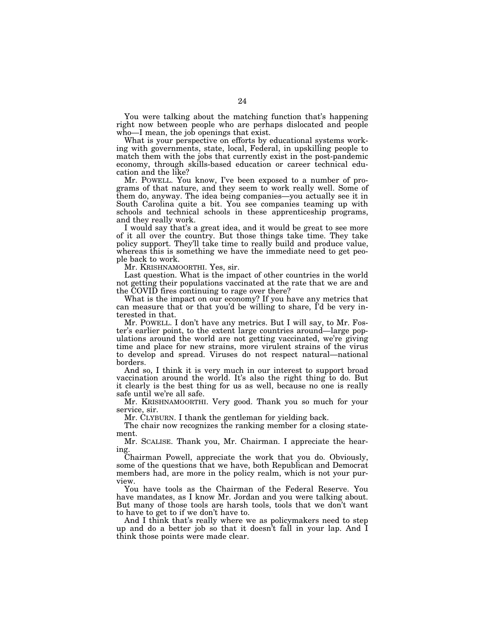You were talking about the matching function that's happening right now between people who are perhaps dislocated and people who—I mean, the job openings that exist.

What is your perspective on efforts by educational systems working with governments, state, local, Federal, in upskilling people to match them with the jobs that currently exist in the post-pandemic economy, through skills-based education or career technical education and the like?

Mr. POWELL. You know, I've been exposed to a number of programs of that nature, and they seem to work really well. Some of them do, anyway. The idea being companies—you actually see it in South Carolina quite a bit. You see companies teaming up with schools and technical schools in these apprenticeship programs, and they really work.

I would say that's a great idea, and it would be great to see more of it all over the country. But those things take time. They take policy support. They'll take time to really build and produce value, whereas this is something we have the immediate need to get people back to work.

Mr. KRISHNAMOORTHI. Yes, sir.

Last question. What is the impact of other countries in the world not getting their populations vaccinated at the rate that we are and the COVID fires continuing to rage over there?

What is the impact on our economy? If you have any metrics that can measure that or that you'd be willing to share, I'd be very interested in that.

Mr. POWELL. I don't have any metrics. But I will say, to Mr. Foster's earlier point, to the extent large countries around—large populations around the world are not getting vaccinated, we're giving time and place for new strains, more virulent strains of the virus to develop and spread. Viruses do not respect natural—national borders.

And so, I think it is very much in our interest to support broad vaccination around the world. It's also the right thing to do. But it clearly is the best thing for us as well, because no one is really safe until we're all safe.

Mr. KRISHNAMOORTHI. Very good. Thank you so much for your service, sir.

Mr. CLYBURN. I thank the gentleman for yielding back.

The chair now recognizes the ranking member for a closing statement.

Mr. SCALISE. Thank you, Mr. Chairman. I appreciate the hearing.

Chairman Powell, appreciate the work that you do. Obviously, some of the questions that we have, both Republican and Democrat members had, are more in the policy realm, which is not your purview.

You have tools as the Chairman of the Federal Reserve. You have mandates, as I know Mr. Jordan and you were talking about. But many of those tools are harsh tools, tools that we don't want to have to get to if we don't have to.

And I think that's really where we as policymakers need to step up and do a better job so that it doesn't fall in your lap. And I think those points were made clear.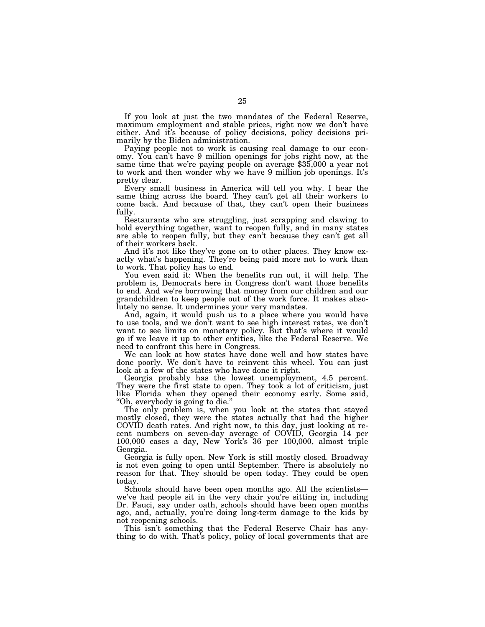If you look at just the two mandates of the Federal Reserve, maximum employment and stable prices, right now we don't have either. And it's because of policy decisions, policy decisions primarily by the Biden administration.

Paying people not to work is causing real damage to our economy. You can't have 9 million openings for jobs right now, at the same time that we're paying people on average \$35,000 a year not to work and then wonder why we have 9 million job openings. It's pretty clear.

Every small business in America will tell you why. I hear the same thing across the board. They can't get all their workers to come back. And because of that, they can't open their business fully.

Restaurants who are struggling, just scrapping and clawing to hold everything together, want to reopen fully, and in many states are able to reopen fully, but they can't because they can't get all of their workers back.

And it's not like they've gone on to other places. They know exactly what's happening. They're being paid more not to work than to work. That policy has to end.

You even said it: When the benefits run out, it will help. The problem is, Democrats here in Congress don't want those benefits to end. And we're borrowing that money from our children and our grandchildren to keep people out of the work force. It makes absolutely no sense. It undermines your very mandates.

And, again, it would push us to a place where you would have to use tools, and we don't want to see high interest rates, we don't want to see limits on monetary policy. But that's where it would go if we leave it up to other entities, like the Federal Reserve. We need to confront this here in Congress.

We can look at how states have done well and how states have done poorly. We don't have to reinvent this wheel. You can just look at a few of the states who have done it right.

Georgia probably has the lowest unemployment, 4.5 percent. They were the first state to open. They took a lot of criticism, just like Florida when they opened their economy early. Some said, ''Oh, everybody is going to die.''

The only problem is, when you look at the states that stayed mostly closed, they were the states actually that had the higher COVID death rates. And right now, to this day, just looking at recent numbers on seven-day average of COVID, Georgia 14 per 100,000 cases a day, New York's 36 per 100,000, almost triple Georgia.

Georgia is fully open. New York is still mostly closed. Broadway is not even going to open until September. There is absolutely no reason for that. They should be open today. They could be open today.

Schools should have been open months ago. All the scientists we've had people sit in the very chair you're sitting in, including Dr. Fauci, say under oath, schools should have been open months ago, and, actually, you're doing long-term damage to the kids by not reopening schools.

This isn't something that the Federal Reserve Chair has anything to do with. That's policy, policy of local governments that are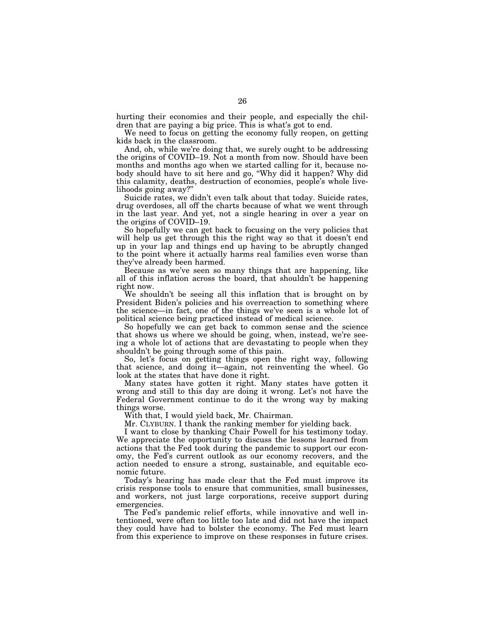hurting their economies and their people, and especially the children that are paying a big price. This is what's got to end.

We need to focus on getting the economy fully reopen, on getting kids back in the classroom.

And, oh, while we're doing that, we surely ought to be addressing the origins of COVID–19. Not a month from now. Should have been months and months ago when we started calling for it, because nobody should have to sit here and go, ''Why did it happen? Why did this calamity, deaths, destruction of economies, people's whole livelihoods going away?''

Suicide rates, we didn't even talk about that today. Suicide rates, drug overdoses, all off the charts because of what we went through in the last year. And yet, not a single hearing in over a year on the origins of COVID–19.

So hopefully we can get back to focusing on the very policies that will help us get through this the right way so that it doesn't end up in your lap and things end up having to be abruptly changed to the point where it actually harms real families even worse than they've already been harmed.

Because as we've seen so many things that are happening, like all of this inflation across the board, that shouldn't be happening right now.

We shouldn't be seeing all this inflation that is brought on by President Biden's policies and his overreaction to something where the science—in fact, one of the things we've seen is a whole lot of political science being practiced instead of medical science.

So hopefully we can get back to common sense and the science that shows us where we should be going, when, instead, we're seeing a whole lot of actions that are devastating to people when they shouldn't be going through some of this pain.

So, let's focus on getting things open the right way, following that science, and doing it—again, not reinventing the wheel. Go look at the states that have done it right.

Many states have gotten it right. Many states have gotten it wrong and still to this day are doing it wrong. Let's not have the Federal Government continue to do it the wrong way by making things worse.

With that, I would yield back, Mr. Chairman.

Mr. CLYBURN. I thank the ranking member for yielding back.

I want to close by thanking Chair Powell for his testimony today. We appreciate the opportunity to discuss the lessons learned from actions that the Fed took during the pandemic to support our economy, the Fed's current outlook as our economy recovers, and the action needed to ensure a strong, sustainable, and equitable economic future.

Today's hearing has made clear that the Fed must improve its crisis response tools to ensure that communities, small businesses, and workers, not just large corporations, receive support during emergencies.

The Fed's pandemic relief efforts, while innovative and well intentioned, were often too little too late and did not have the impact they could have had to bolster the economy. The Fed must learn from this experience to improve on these responses in future crises.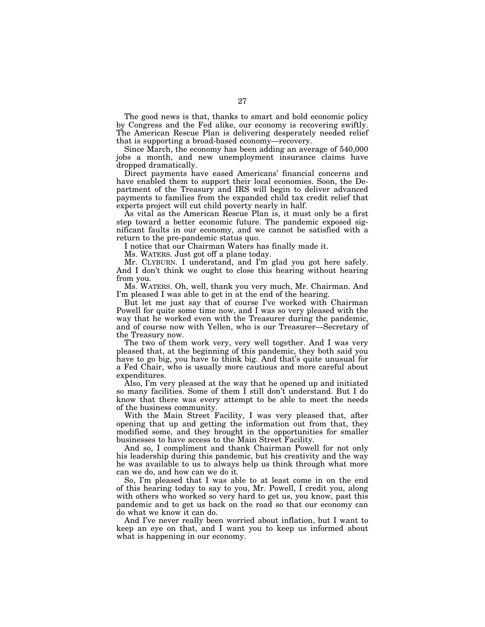The good news is that, thanks to smart and bold economic policy by Congress and the Fed alike, our economy is recovering swiftly. The American Rescue Plan is delivering desperately needed relief that is supporting a broad-based economy—recovery.

Since March, the economy has been adding an average of 540,000 jobs a month, and new unemployment insurance claims have dropped dramatically.

Direct payments have eased Americans' financial concerns and have enabled them to support their local economies. Soon, the Department of the Treasury and IRS will begin to deliver advanced payments to families from the expanded child tax credit relief that experts project will cut child poverty nearly in half.

As vital as the American Rescue Plan is, it must only be a first step toward a better economic future. The pandemic exposed significant faults in our economy, and we cannot be satisfied with a return to the pre-pandemic status quo.

I notice that our Chairman Waters has finally made it.

Ms. WATERS. Just got off a plane today.

Mr. CLYBURN. I understand, and I'm glad you got here safely. And I don't think we ought to close this hearing without hearing from you.

Ms. WATERS. Oh, well, thank you very much, Mr. Chairman. And I'm pleased I was able to get in at the end of the hearing.

But let me just say that of course I've worked with Chairman Powell for quite some time now, and I was so very pleased with the way that he worked even with the Treasurer during the pandemic, and of course now with Yellen, who is our Treasurer—Secretary of the Treasury now.

The two of them work very, very well together. And I was very pleased that, at the beginning of this pandemic, they both said you have to go big, you have to think big. And that's quite unusual for a Fed Chair, who is usually more cautious and more careful about expenditures.

Also, I'm very pleased at the way that he opened up and initiated so many facilities. Some of them I still don't understand. But I do know that there was every attempt to be able to meet the needs of the business community.

With the Main Street Facility, I was very pleased that, after opening that up and getting the information out from that, they modified some, and they brought in the opportunities for smaller businesses to have access to the Main Street Facility.

And so, I compliment and thank Chairman Powell for not only his leadership during this pandemic, but his creativity and the way he was available to us to always help us think through what more can we do, and how can we do it.

So, I'm pleased that I was able to at least come in on the end of this hearing today to say to you, Mr. Powell, I credit you, along with others who worked so very hard to get us, you know, past this pandemic and to get us back on the road so that our economy can do what we know it can do.

And I've never really been worried about inflation, but I want to keep an eye on that, and I want you to keep us informed about what is happening in our economy.